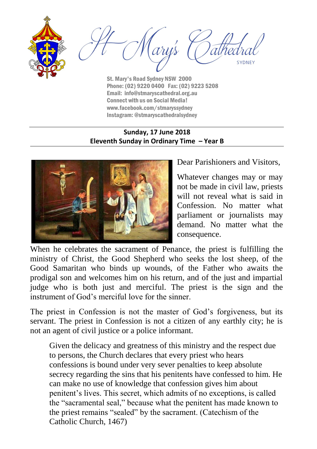



St. Mary's Road Sydney NSW 2000 Phone: (02) 9220 0400 Fax: (02) 9223 5208 Email: info@stmaryscathedral.org.au Connect with us on Social Media! www.facebook.com/stmaryssydney Instagram: @stmaryscathedralsydney

## **Sunday, 17 June 2018 Eleventh Sunday in Ordinary Time – Year B**



Dear Parishioners and Visitors,

Whatever changes may or may not be made in civil law, priests will not reveal what is said in Confession. No matter what parliament or journalists may demand. No matter what the consequence.

When he celebrates the sacrament of Penance, the priest is fulfilling the ministry of Christ, the Good Shepherd who seeks the lost sheep, of the Good Samaritan who binds up wounds, of the Father who awaits the prodigal son and welcomes him on his return, and of the just and impartial judge who is both just and merciful. The priest is the sign and the instrument of God's merciful love for the sinner.

The priest in Confession is not the master of God's forgiveness, but its servant. The priest in Confession is not a citizen of any earthly city; he is not an agent of civil justice or a police informant.

Given the delicacy and greatness of this ministry and the respect due to persons, the Church declares that every priest who hears confessions is bound under very sever penalties to keep absolute secrecy regarding the sins that his penitents have confessed to him. He can make no use of knowledge that confession gives him about penitent's lives. This secret, which admits of no exceptions, is called the "sacramental seal," because what the penitent has made known to the priest remains "sealed" by the sacrament. (Catechism of the Catholic Church, 1467)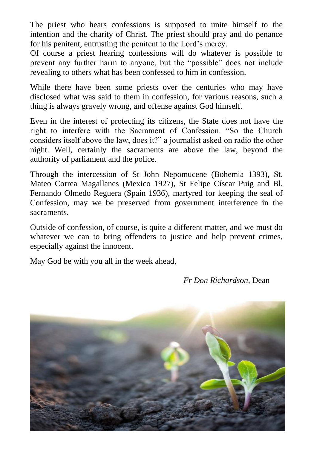The priest who hears confessions is supposed to unite himself to the intention and the charity of Christ. The priest should pray and do penance for his penitent, entrusting the penitent to the Lord's mercy.

Of course a priest hearing confessions will do whatever is possible to prevent any further harm to anyone, but the "possible" does not include revealing to others what has been confessed to him in confession.

While there have been some priests over the centuries who may have disclosed what was said to them in confession, for various reasons, such a thing is always gravely wrong, and offense against God himself.

Even in the interest of protecting its citizens, the State does not have the right to interfere with the Sacrament of Confession. "So the Church considers itself above the law, does it?" a journalist asked on radio the other night. Well, certainly the sacraments are above the law, beyond the authority of parliament and the police.

Through the intercession of St John Nepomucene (Bohemia 1393), St. Mateo Correa Magallanes (Mexico 1927), St Felipe Císcar Puig and Bl. Fernando Olmedo Reguera (Spain 1936), martyred for keeping the seal of Confession, may we be preserved from government interference in the sacraments.

Outside of confession, of course, is quite a different matter, and we must do whatever we can to bring offenders to justice and help prevent crimes, especially against the innocent.

May God be with you all in the week ahead,

### *Fr Don Richardson,* Dean

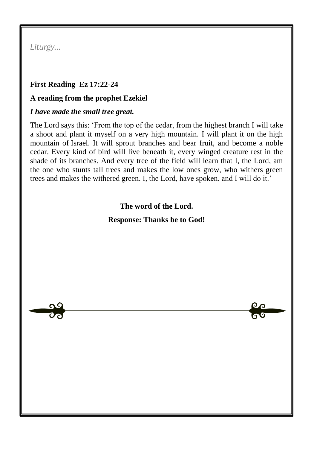*Liturgy…*

## **First Reading Ez 17:22-24**

### **A reading from the prophet Ezekiel**

#### *I have made the small tree great.*

The Lord says this: 'From the top of the cedar, from the highest branch I will take a shoot and plant it myself on a very high mountain. I will plant it on the high mountain of [Israel.](http://liturgyhelp.com.au/resource_file/wav/Israel.mp3) It will sprout branches and bear fruit, and become a noble cedar. Every kind of bird will live beneath it, every winged creature rest in the shade of its branches. And every tree of the field will learn that I, the Lord, am the one who stunts tall trees and makes the low ones grow, who withers green trees and makes the withered green. I, the Lord, have spoken, and I will do it.'



**Response: Thanks be to God!**

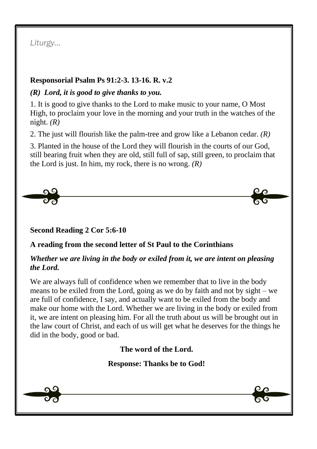```
Liturgy…
```
# **Responsorial Psalm Ps 91:2-3. 13-16. R. v.2**

# *(R) Lord, it is good to give thanks to you.*

1. It is good to give thanks to the Lord to make music to your name, O Most High, to proclaim your love in the morning and your truth in the watches of the night.  $(R)$ 

2. The just will flourish like the palm-tree and grow like a [Lebanon](http://liturgyhelp.com.au/resource_file/wav/Lebanon.mp3) cedar. *(R)*

3. Planted in the house of the Lord they will flourish in the courts of our God, still bearing fruit when they are old, still full of sap, still green, to proclaim that the Lord is just. In him, my rock, there is no wrong. *(R)*



# **Second Reading 2 Cor 5:6-10**

**A reading from the second letter of St Paul to the Corinthians**

## *Whether we are living in the body or exiled from it, we are intent on pleasing the Lord.*

We are always full of confidence when we remember that to live in the body means to be exiled from the Lord, going as we do by faith and not by sight – we are full of confidence, I say, and actually want to be exiled from the body and make our home with the Lord. Whether we are living in the body or exiled from it, we are intent on pleasing him. For all the truth about us will be brought out in the law court of Christ, and each of us will get what he deserves for the things he did in the body, good or bad.

# **The word of the Lord.**

**Response: Thanks be to God!**

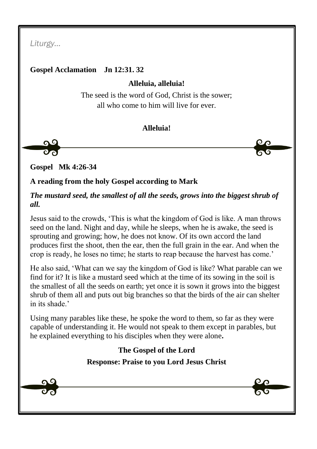*Liturgy…*

# **Gospel Acclamation Jn 12:31. 32**

# **Alleluia, alleluia!**

The seed is the word of God, Christ is the sower; all who come to him will live for ever.

# **Alleluia!**

**Gospel Mk 4:26-34**

# **A reading from the holy Gospel according to Mark**

# *The mustard seed, the smallest of all the seeds, grows into the biggest shrub of all.*

Jesus said to the crowds, 'This is what the kingdom of God is like. A man throws seed on the land. Night and day, while he sleeps, when he is awake, the seed is sprouting and growing; how, he does not know. Of its own accord the land produces first the shoot, then the ear, then the full grain in the ear. And when the crop is ready, he loses no time; he starts to reap because the harvest has come.'

He also said, 'What can we say the kingdom of God is like? What parable can we find for it? It is like a mustard seed which at the time of its sowing in the soil is the smallest of all the seeds on earth; yet once it is sown it grows into the biggest shrub of them all and puts out big branches so that the birds of the air can shelter in its shade?

Using many parables like these, he spoke the word to them, so far as they were capable of understanding it. He would not speak to them except in parables, but he explained everything to his disciples when they were alone**.**

# **The Gospel of the Lord Response: Praise to you Lord Jesus Christ**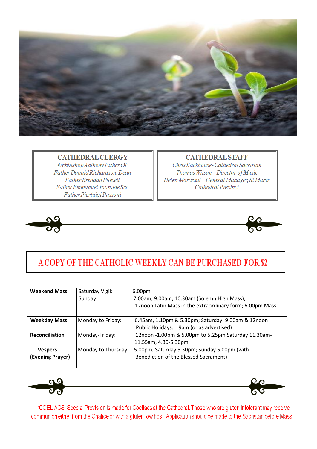

#### **CATHEDRAL CLERGY**

Archbishop Anthony Fisher OP Father Donald Richardson, Dean Father Brendan Purcell Father Emmanuel Yoon Jae Seo Father Pierluigi Passoni

#### **CATHEDRAL STAFF**

Chris Backhouse-Cathedral Sacristan Thomas Wilson-Director of Music Helen Morassut - General Manager, St Marys Cathedral Precinct



# A COPY OF THE CATHOLIC WEEKLY CAN BE PURCHASED FOR \$2

| <b>Weekend Mass</b>                | Saturday Vigil:<br>Sunday: | 6.00 <sub>pm</sub><br>7.00am, 9.00am, 10.30am (Solemn High Mass);<br>12noon Latin Mass in the extraordinary form; 6.00pm Mass |
|------------------------------------|----------------------------|-------------------------------------------------------------------------------------------------------------------------------|
| <b>Weekday Mass</b>                | Monday to Friday:          | 6.45am, 1.10pm & 5.30pm; Saturday: 9.00am & 12noon<br>Public Holidays: 9am (or as advertised)                                 |
| <b>Reconciliation</b>              | Monday-Friday:             | 12noon -1.00pm & 5.00pm to 5.25pm Saturday 11.30am-<br>11.55am, 4.30-5.30pm                                                   |
| <b>Vespers</b><br>(Evening Prayer) | Monday to Thursday:        | 5.00pm; Saturday 5.30pm; Sunday 5.00pm (with<br>Benediction of the Blessed Sacrament)                                         |



 $\overline{\mathbf{c}}$   $\overline{\mathbf{c}}$ 

60

\*\*COELIACS: Special Provision is made for Coeliacs at the Cathedral. Those who are gluten intolerant may receive communion either from the Chalice or with a gluten low host. Application should be made to the Sacristan before Mass.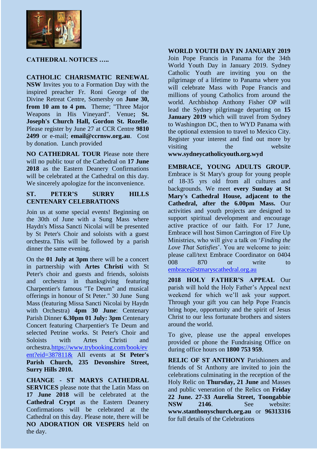

**CATHEDRAL NOTICES …..**

**CATHOLIC CHARISMATIC RENEWAL NSW** Invites you to a Formation Day with the inspired preacher Fr. Roni George of the Divine Retreat Centre, Somersby on **June 30, from 10 am to 4 pm.** Theme; "Three Major Weapons in His Vineyard". Venue**; St. Joseph's Church Hall, Gordon St. Rozelle**. Please register by June 27 at CCR Centre **9810 2499** or e-mail; **email@ccrnsw.org.au**. Cost by donation. Lunch provided

**NO CATHEDRAL TOUR** Please note there will no public tour of the Cathedral on **17 June 2018** as the Eastern Deanery Confirmations will be celebrated at the Cathedral on this day. We sincerely apologize for the inconvenience.

#### **ST. PETER'S SURRY HILLS CENTENARY CELEBRATIONS**

Join us at some special events! Beginning on the 30th of June with a Sung Mass where Haydn's Missa Sancti Nicolai will be presented by St Peter's Choir and soloists with a guest orchestra. This will be followed by a parish dinner the same evening.

On the **01 July at 3pm** there will be a concert in partnership with **Artes Christi** with St Peter's choir and guests and friends, soloists and orchestra in thanksgiving featuring Charpentier's famous "Te Deum" and musical offerings in honour of St Peter." 30 June Sung Mass (featuring Missa Sancti Nicolai by Haydn with Orchestra) **4pm 30 June**: Centenary Parish Dinner **6.30pm 01 July: 3pm** Centenary Concert featuring Charpentier's Te Deum and selected Petrine works. St Peter's Choir and Soloists with Artes Christi and orchestra[.https://www.trybooking.com/book/ev](https://www.trybooking.com/book/event?eid=387811&) [ent?eid=387811&](https://www.trybooking.com/book/event?eid=387811&) All events at **St Peter's Parish Church, 235 Devonshire Street, Surry Hills 2010.**

**CHANGE - ST MARYS CATHEDRAL SERVICES** please note that the Latin Mass on **17 June 2018** will be celebrated at the **Cathedral Crypt** as the Eastern Deanery Confirmations will be celebrated at the Cathedral on this day. Please note, there will be **NO ADORATION OR VESPERS** held on the day.

#### **WORLD YOUTH DAY IN JANUARY 2019**

Join Pope Francis in Panama for the 34th World Youth Day in January 2019. Sydney Catholic Youth are inviting you on the pilgrimage of a lifetime to Panama where you will celebrate Mass with Pope Francis and millions of young Catholics from around the world. Archbishop Anthony Fisher OP will lead the Sydney pilgrimage departing on **15 January 2019** which will travel from Sydney to Washington DC, then to WYD Panama with the optional extension to travel to Mexico City. Register your interest and find out more by visiting the website **www.sydneycatholicyouth.org.wyd** 

**EMBRACE, YOUNG ADULTS GROUP.**  Embrace is St Mary's group for young people of 18-35 yrs old from all cultures and backgrounds. We meet **every Sunday at St Mary's Cathedral House, adjacent to the Cathedral, after the 6.00pm Mass.** Our activities and youth projects are designed to support spiritual development and encourage active practice of our faith. For 17 June, Embrace will host Simon Carrington of Fire Up Ministries, who will give a talk on '*Finding the Love That Satisfies*'. You are welcome to join: please call/text Embrace Coordinator on 0404 008 870 or write to [embrace@stmaryscathedral.org.au](mailto:embrace@stmaryscathedral.org.au)

**2018 HOLY FATHER'S APPEAL** Our parish will hold the Holy Father's Appeal next weekend for which we'll ask your support. Through your gift you can help Pope Francis bring hope, opportunity and the spirit of Jesus Christ to our less fortunate brothers and sisters around the world.

To give, please use the appeal envelopes provided or phone the Fundraising Office on during office hours on **1800 753 959**.

**RELIC OF ST ANTHONY** Parishioners and friends of St Anthony are invited to join the celebrations culminating in the reception of the Holy Relic on **Thursday, 21 June** and Masses and public veneration of the Relics on **Friday 22 June. 27-33 Aurelia Street, Toongabbie**  NSW 2146. See website: **www.stanthonyschurch.org.au** or **96313316** for full details of the Celebrations